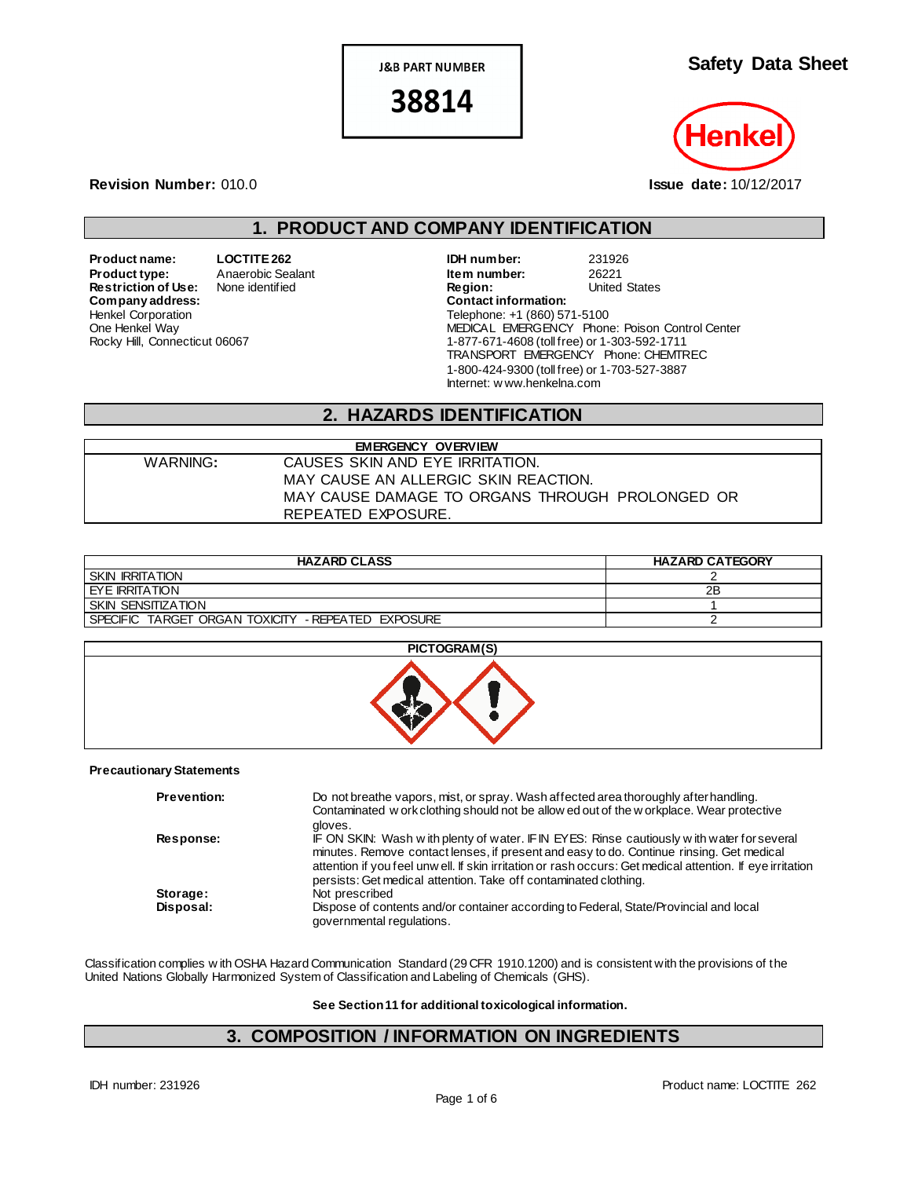**J&B PART NUMBER** 

38814

**Safety Data Sheet**



**Revision Number:** 010.0 **Issue date:** 10/12/2017

## **1. PRODUCT AND COMPANY IDENTIFICATION**

**Restriction of Use:** None identified **Region:** Region: United States Company address:  $Company address:$ Henkel Corporation One Henkel Way Rocky Hill, Connecticut 06067

**Product name: LOCTITE 262 IDH number:** 231926 **Product type:** Anaerobic Sealant **Item number:** 26221<br> **Restriction of Use:** None identified **Integral Construct Construct Construct** Construct Chates Telephone: +1 (860) 571-5100 MEDICAL EMERGENCY Phone: Poison Control Center 1-877-671-4608 (toll free) or 1-303-592-1711 TRANSPORT EMERGENCY Phone: CHEMTREC 1-800-424-9300 (toll free) or 1-703-527-3887 Internet: w ww.henkelna.com

## **2. HAZARDS IDENTIFICATION**

| <b>EMERGENCY OVERVIEW</b> |                                                 |  |  |
|---------------------------|-------------------------------------------------|--|--|
| WARNING:                  | CAUSES SKIN AND EYE IRRITATION.                 |  |  |
|                           | MAY CAUSE AN ALLERGIC SKIN REACTION.            |  |  |
|                           | MAY CAUSE DAMAGE TO ORGANS THROUGH PROLONGED OR |  |  |
|                           | REPEATED EXPOSURE.                              |  |  |

| <b>HAZARD CLASS</b>                                | <b>HAZARD CATEGORY</b> |
|----------------------------------------------------|------------------------|
| <b>SKIN IRRITATION</b>                             |                        |
| EYE IRRITATION                                     | 2B                     |
| <b>SKIN SENSITIZATION</b>                          |                        |
| SPECIFIC TARGET ORGAN TOXICITY - REPEATED EXPOSURE |                        |

### **PICTOGRAM(S)**



#### **Precautionary Statements**

| <b>Prevention:</b> | Do not breathe vapors, mist, or spray. Wash affected area thoroughly after handling.<br>Contaminated w ork clothing should not be allow ed out of the w orkplace. Wear protective<br>gloves.                                                                                                                                                                             |
|--------------------|--------------------------------------------------------------------------------------------------------------------------------------------------------------------------------------------------------------------------------------------------------------------------------------------------------------------------------------------------------------------------|
| <b>Response:</b>   | IF ON SKIN: Wash with plenty of water. IF IN EYES: Rinse cautiously with water for several<br>minutes. Remove contact lenses, if present and easy to do. Continue rinsing. Get medical<br>attention if you feel unw ell. If skin irritation or rash occurs: Get medical attention. If eye irritation<br>persists: Get medical attention. Take off contaminated clothing. |
| Storage:           | Not prescribed                                                                                                                                                                                                                                                                                                                                                           |
| Disposal:          | Dispose of contents and/or container according to Federal, State/Provincial and local<br>governmental regulations.                                                                                                                                                                                                                                                       |

Classification complies w ith OSHA Hazard Communication Standard (29 CFR 1910.1200) and is consistent with the provisions of the United Nations Globally Harmonized System of Classification and Labeling of Chemicals (GHS).

**See Section 11 for additional toxicological information.**

## **3. COMPOSITION / INFORMATION ON INGREDIENTS**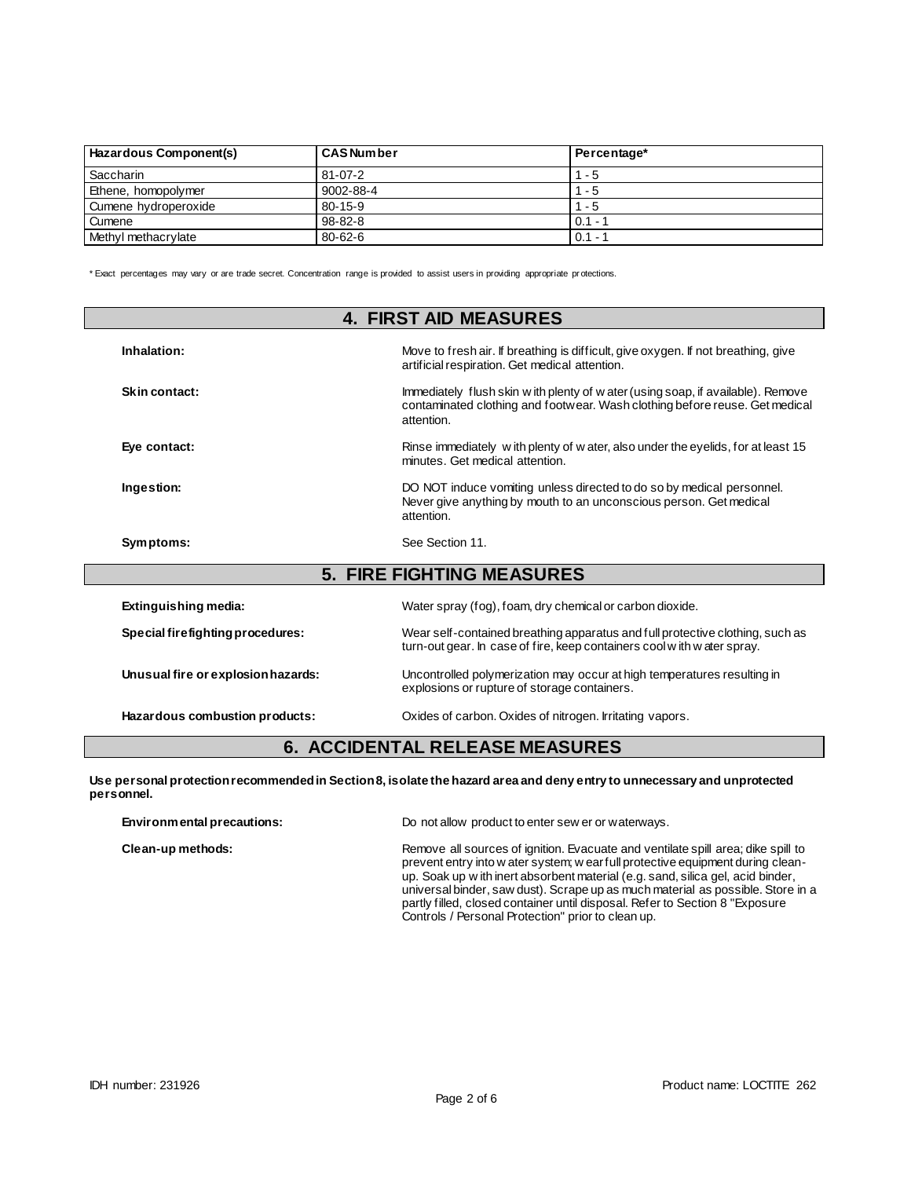| Hazardous Component(s) | <b>CAS Number</b> | Percentage* |
|------------------------|-------------------|-------------|
| Saccharin              | $81 - 07 - 2$     | $1 - 5$     |
| Ethene, homopolymer    | 9002-88-4         | - 5         |
| Cumene hydroperoxide   | $80 - 15 - 9$     | - 5         |
| Cumene                 | $98 - 82 - 8$     | $0.1 -$     |
| Methyl methacrylate    | $80 - 62 - 6$     | $0.1 -$     |

\* Exact percentages may vary or are trade secret. Concentration range is provided to assist users in providing appropriate pr otections.

| <b>4. FIRST AID MEASURES</b>       |                                                                                                                                                                               |  |  |
|------------------------------------|-------------------------------------------------------------------------------------------------------------------------------------------------------------------------------|--|--|
| Inhalation:                        | Move to fresh air. If breathing is difficult, give oxygen. If not breathing, give<br>artificial respiration. Get medical attention.                                           |  |  |
| Skin contact:                      | Immediately flush skin w ith plenty of w ater (using soap, if available). Remove<br>contaminated clothing and footwear. Wash clothing before reuse. Get medical<br>attention. |  |  |
| Eye contact:                       | Rinse immediately with plenty of water, also under the eyelids, for at least 15<br>minutes. Get medical attention.                                                            |  |  |
| Ingestion:                         | DO NOT induce vomiting unless directed to do so by medical personnel.<br>Never give anything by mouth to an unconscious person. Get medical<br>attention.                     |  |  |
| Symptoms:                          | See Section 11.                                                                                                                                                               |  |  |
|                                    | <b>5. FIRE FIGHTING MEASURES</b>                                                                                                                                              |  |  |
| Extinguishing media:               | Water spray (fog), foam, dry chemical or carbon dioxide.                                                                                                                      |  |  |
| Special firefighting procedures:   | Wear self-contained breathing apparatus and full protective clothing, such as<br>turn-out gear. In case of fire, keep containers cool with water spray.                       |  |  |
| Unusual fire or explosion hazards: | Uncontrolled polymerization may occur at high temperatures resulting in<br>explosions or rupture of storage containers.                                                       |  |  |
| Hazardous combustion products:     | Oxides of carbon. Oxides of nitrogen. Irritating vapors.                                                                                                                      |  |  |

## **6. ACCIDENTAL RELEASE MEASURES**

**Use personal protection recommended in Section 8, isolate the hazard area and deny entry to unnecessary and unprotected personnel.**

| Environmental precautions: | Do not allow product to enter sew er or waterways.                                                                                                                                                                                                                                                                                                                                                                                                                              |
|----------------------------|---------------------------------------------------------------------------------------------------------------------------------------------------------------------------------------------------------------------------------------------------------------------------------------------------------------------------------------------------------------------------------------------------------------------------------------------------------------------------------|
| Clean-up methods:          | Remove all sources of ignition. Evacuate and ventilate spill area; dike spill to<br>prevent entry into w ater system; w ear full protective equipment during clean-<br>up. Soak up w ith inert absorbent material (e.g. sand, silica gel, acid binder,<br>universal binder, saw dust). Scrape up as much material as possible. Store in a<br>partly filled, closed container until disposal. Refer to Section 8 "Exposure<br>Controls / Personal Protection" prior to clean up. |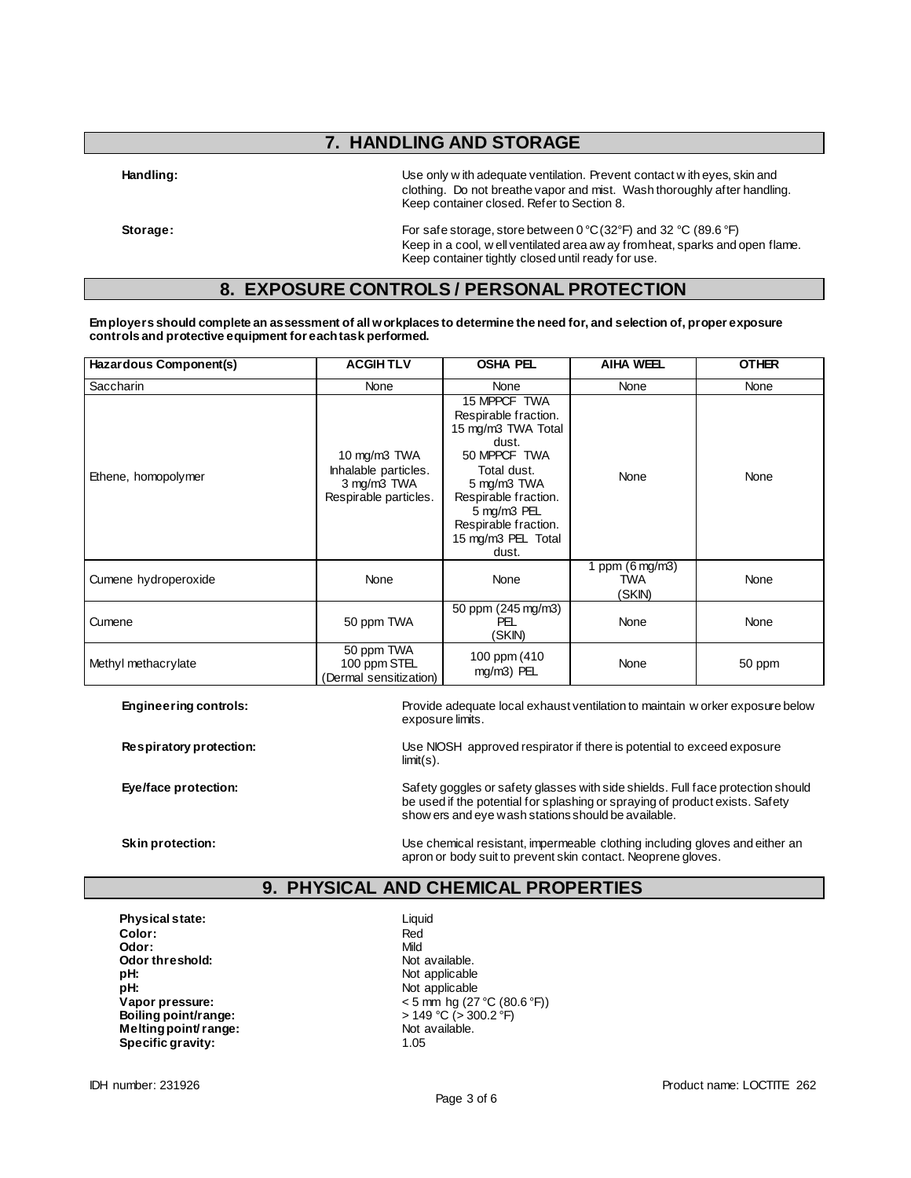## **7. HANDLING AND STORAGE**

**Handling:** Use only w ith adequate ventilation. Prevent contact w ith eyes, skin and clothing. Do not breathe vapor and mist. Wash thoroughly after handling. Keep container closed. Refer to Section 8.

**Storage:** For safe storage, store between 0 °C (32°F) and 32 °C (89.6 °F) Keep in a cool, w ell ventilated area aw ay from heat, sparks and open flame. Keep container tightly closed until ready for use.

### **8. EXPOSURE CONTROLS / PERSONAL PROTECTION**

**Employers should complete an assessment of all workplaces to determine the need for, and selection of, proper exposure controls and protective equipment for each task performed.**

| Hazardous Component(s) | <b>ACGIHTLV</b>                                                              | <b>OSHA PEL</b>                                                                                                                                                                                                 | <b>AIHA WEEL</b>                                  | <b>OTHER</b> |
|------------------------|------------------------------------------------------------------------------|-----------------------------------------------------------------------------------------------------------------------------------------------------------------------------------------------------------------|---------------------------------------------------|--------------|
| <b>Saccharin</b>       | None                                                                         | None                                                                                                                                                                                                            | None                                              | None         |
| Ethene, homopolymer    | 10 mg/m3 TWA<br>Inhalable particles.<br>3 mg/m3 TWA<br>Respirable particles. | 15 MPPCF TWA<br>Respirable fraction.<br>15 mg/m3 TWA Total<br>dust.<br>50 MPPCF TWA<br>Total dust.<br>5 mg/m3 TWA<br>Respirable fraction.<br>5 mg/m3 PEL<br>Respirable fraction.<br>15 mg/m3 PEL Total<br>dust. | None                                              | None         |
| Cumene hydroperoxide   | None                                                                         | None                                                                                                                                                                                                            | 1 ppm $(6 \text{ mg/m3})$<br><b>TWA</b><br>(SKIN) | None         |
| Cumene                 | 50 ppm TWA                                                                   | 50 ppm (245 mg/m3)<br>PEL<br>(SKIN)                                                                                                                                                                             | None                                              | None         |
| Methyl methacrylate    | 50 ppm TWA<br>100 ppm STEL<br>(Dermal sensitization)                         | 100 ppm (410)<br>mg/m3) PEL                                                                                                                                                                                     | None                                              | 50 ppm       |

**Engineering controls:** Provide adequate local exhaust ventilation to maintain w orker exposure below exposure limits.

**Respiratory protection:** Use NIOSH approved respirator if there is potential to exceed exposure limit(s).

**Eye/face protection:** Safety goggles or safety glasses with side shields. Full face protection should in the share of the share of the share of the share of the share of the share of the share of the share of the share of be used if the potential for splashing or spraying of product exists. Safety show ers and eye wash stations should be available.

**Skin protection:** Use chemical resistant, impermeable clothing including gloves and either an apron or body suit to prevent skin contact. Neoprene gloves.

## **9. PHYSICAL AND CHEMICAL PROPERTIES**

**Physical state:** Liquid **Color:** Red **Odor:** Mild<br> **Odor threshold:** Contained the Society of Mot available. **Odor threshold:**<br>pH: **pH:** Not applicable **Boiling point/range:**  $> 149 °C > 3$ <br> **Melting point/ range:**  $> 300$  Not available. **Melting point/ range: Specific gravity:** 1.05

Not applicable **Vapor pressure:**  $\leftarrow$  5 mm hg (27 °C (80.6 °F))<br> **Boiling point/range:**  $\leftarrow$  149 °C (> 300.2 °F)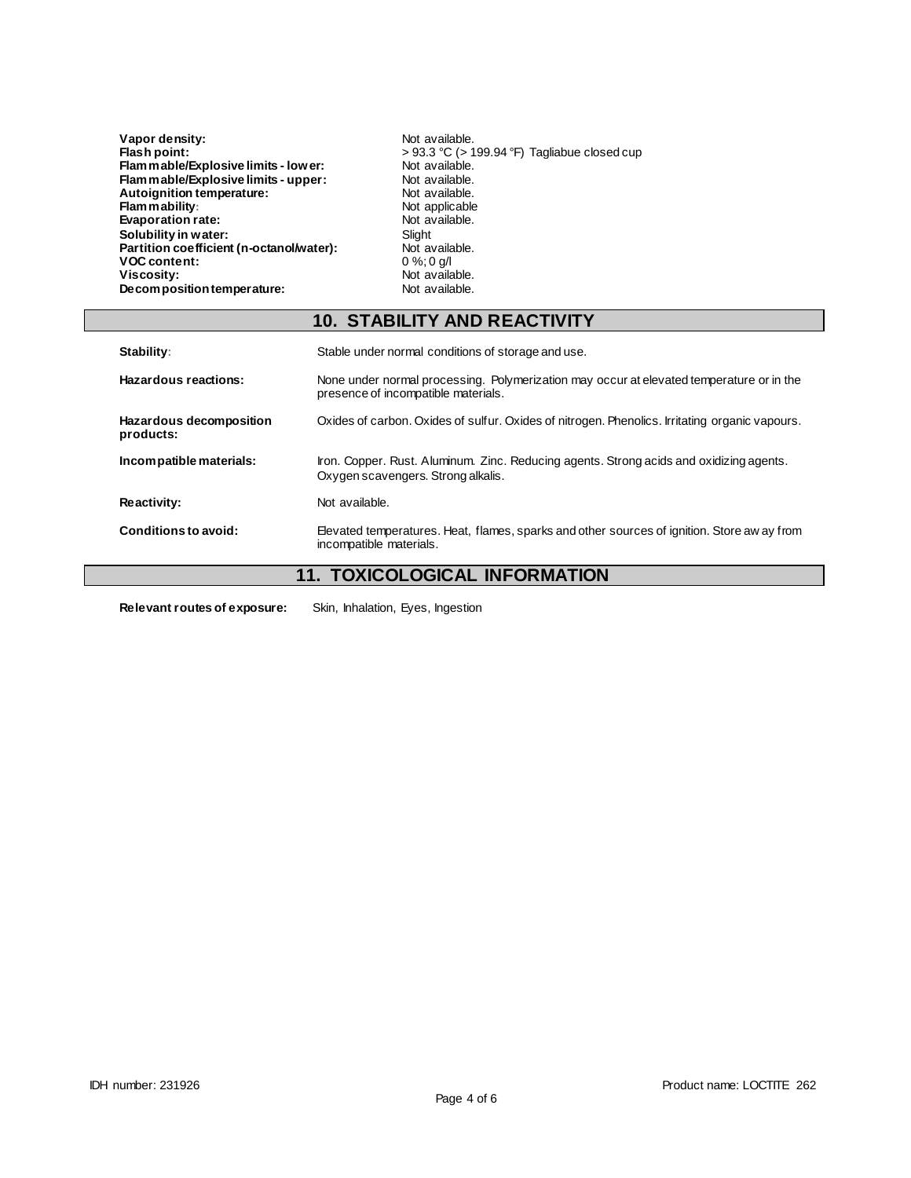| Vapor density:                           | Not available.                                    |
|------------------------------------------|---------------------------------------------------|
| Flash point:                             | $> 93.3$ °C ( $> 199.94$ °F) Tagliabue closed cup |
| Flammable/Explosive limits - lower:      | Not available.                                    |
| Flam mable/Explosive limits - upper:     | Not available.                                    |
| Autoignition temperature:                | Not available.                                    |
| Flammability:                            | Not applicable                                    |
| Evaporation rate:                        | Not available.                                    |
| Solubility in water:                     | Slight                                            |
| Partition coefficient (n-octanol/water): | Not available.                                    |
| <b>VOC content:</b>                      | $0\%$ ; 0 g/l                                     |
| Viscosity:                               | Not available.                                    |
| Decomposition temperature:               | Not available.                                    |

|                                      | <b>10. STABILITY AND REACTIVITY</b>                                                                                             |
|--------------------------------------|---------------------------------------------------------------------------------------------------------------------------------|
| Stability:                           | Stable under normal conditions of storage and use.                                                                              |
| Hazardous reactions:                 | None under normal processing. Polymerization may occur at elevated temperature or in the<br>presence of incompatible materials. |
| Hazardous decomposition<br>products: | Oxides of carbon. Oxides of sulfur. Oxides of nitrogen. Phenolics. Irritating organic vapours.                                  |
| Incompatible materials:              | Iron. Copper. Rust. Aluminum. Zinc. Reducing agents. Strong acids and oxidizing agents.<br>Oxygen scavengers. Strong alkalis.   |
| Reactivity:                          | Not available.                                                                                                                  |
| Conditions to avoid:                 | Elevated temperatures. Heat, flames, sparks and other sources of ignition. Store aw ay from<br>incompatible materials.          |

# **11. TOXICOLOGICAL INFORMATION**

**Relevant routes of exposure:** Skin, Inhalation, Eyes, Ingestion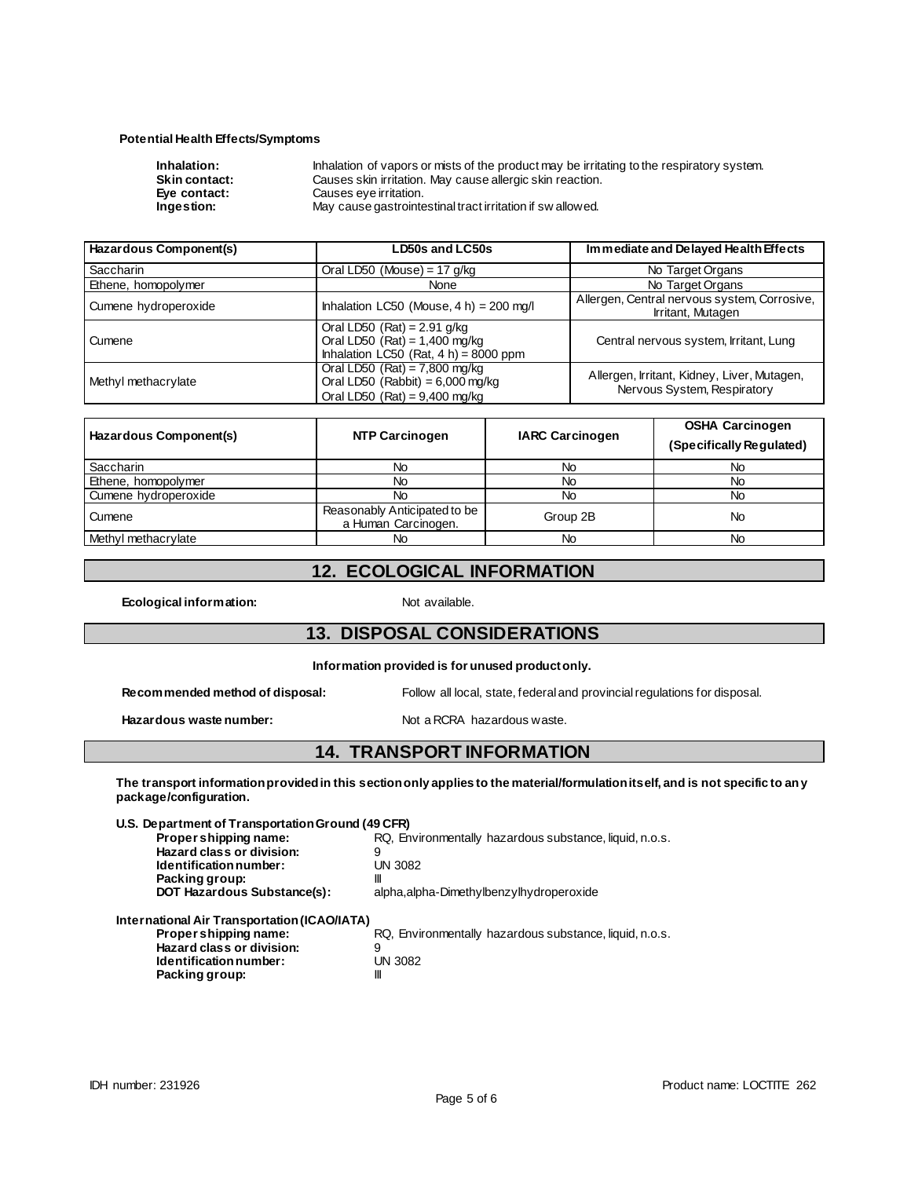#### **Potential Health Effects/Symptoms**

| Inhalation of vapors or mists of the product may be irritating to the respiratory system. |
|-------------------------------------------------------------------------------------------|
| Causes skin irritation. May cause allergic skin reaction.                                 |
| Causes eye irritation.                                                                    |
| May cause gastrointestinal tract irritation if sw allowed.                                |
|                                                                                           |

| Hazardous Component(s) | LD50s and LC50s                                                                                              | Immediate and Delayed Health Effects                                       |  |
|------------------------|--------------------------------------------------------------------------------------------------------------|----------------------------------------------------------------------------|--|
| <b>Saccharin</b>       | Oral LD50 (Mouse) = 17 $q/kg$                                                                                | No Target Organs                                                           |  |
| Ethene, homopolymer    | None                                                                                                         | No Target Organs                                                           |  |
| Cumene hydroperoxide   | Inhalation LC50 (Mouse, $4 h$ ) = 200 mg/l                                                                   | Allergen, Central nervous system, Corrosive,<br>Irritant, Mutagen          |  |
| Cumene                 | Oral LD50 (Rat) = $2.91$ g/kg<br>Oral LD50 $(Rat) = 1,400$ mg/kg<br>Inhalation LC50 (Rat, $4 h$ ) = 8000 ppm | Central nervous system, Irritant, Lung                                     |  |
| Methyl methacrylate    | Oral LD50 $(Rat) = 7,800$ mg/kg<br>Oral LD50 (Rabbit) = $6,000$ mg/kg<br>Oral LD50 $(Rat) = 9,400$ mg/kg     | Allergen, Irritant, Kidney, Liver, Mutagen,<br>Nervous System, Respiratory |  |

| Hazardous Component(s) | <b>NTP Carcinogen</b>                               | <b>IARC Carcinogen</b> | <b>OSHA Carcinogen</b><br>(Specifically Regulated) |
|------------------------|-----------------------------------------------------|------------------------|----------------------------------------------------|
| <b>Saccharin</b>       | No                                                  | No                     | No                                                 |
| Ethene, homopolymer    | No                                                  | No                     | No                                                 |
| Cumene hydroperoxide   | No                                                  | No                     | No                                                 |
| Cumene                 | Reasonably Anticipated to be<br>a Human Carcinogen. | Group 2B               | No                                                 |
| Methyl methacrylate    | No                                                  | No                     | No                                                 |

## **12. ECOLOGICAL INFORMATION**

**Ecological information:** Not available.

### **13. DISPOSAL CONSIDERATIONS**

**Information provided is for unused product only.**

| Recommended method of disposal: | Follow all local, state, federal and provincial regulations for disposal. |
|---------------------------------|---------------------------------------------------------------------------|
|                                 |                                                                           |

### Hazardous waste number: Not a RCRA hazardous waste.

### **14. TRANSPORT INFORMATION**

**The transport information provided in this section only applies to the material/formulation itself, and is not specific to any package/configuration.**

| U.S. Department of Transportation Ground (49 CFR) |                                                         |
|---------------------------------------------------|---------------------------------------------------------|
| Propershipping name:                              | RQ, Environmentally hazardous substance, liquid, n.o.s. |
| Hazard class or division:                         | 9                                                       |
| Identification number:                            | UN 3082                                                 |
| Packing group:                                    | Ш                                                       |
| <b>DOT Hazardous Substance(s):</b>                | alpha, alpha-Dimethylbenzylhydroperoxide                |
| International Air Transportation (ICAO/IATA)      |                                                         |
| Propershipping name:                              | RQ, Environmentally hazardous substance, liquid, n.o.s. |
| Hazard class or division:                         | 9                                                       |
| Identification number:                            | UN 3082                                                 |
| Packing group:                                    | Ш                                                       |